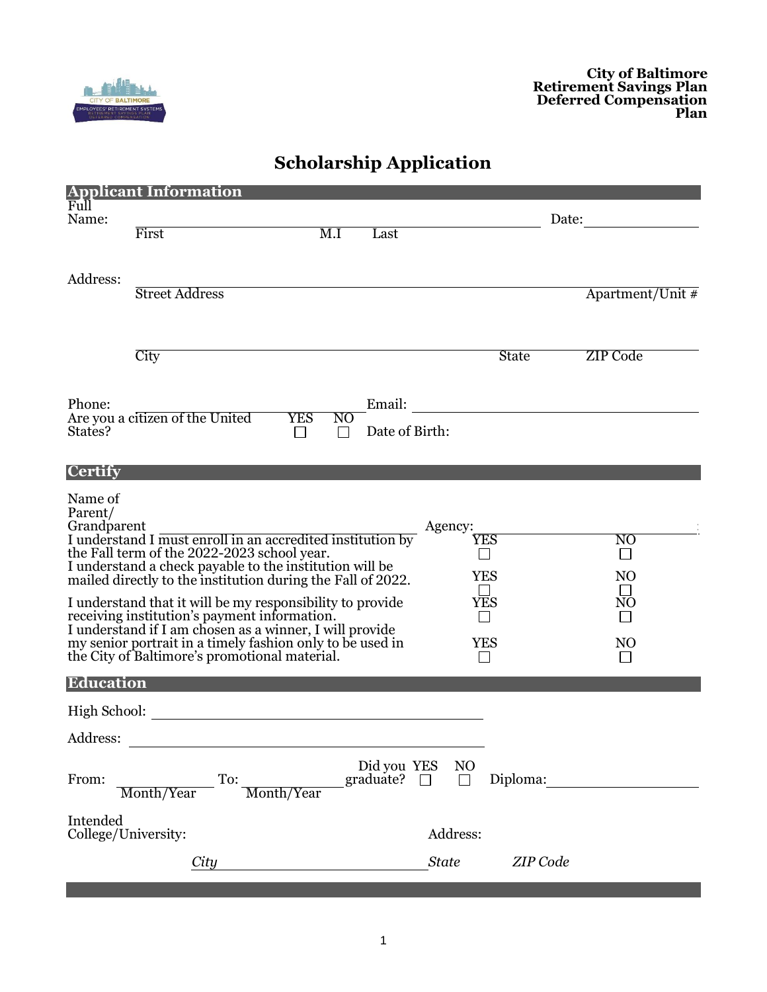

## **Scholarship Application**

| <b>Applicant Information</b>                                                                                                                                         |                                                                                                                                                                                  |                    |
|----------------------------------------------------------------------------------------------------------------------------------------------------------------------|----------------------------------------------------------------------------------------------------------------------------------------------------------------------------------|--------------------|
| Full                                                                                                                                                                 |                                                                                                                                                                                  |                    |
| Name:                                                                                                                                                                | M.I<br>First<br>Last                                                                                                                                                             | Date:              |
|                                                                                                                                                                      |                                                                                                                                                                                  |                    |
|                                                                                                                                                                      |                                                                                                                                                                                  |                    |
| Address:                                                                                                                                                             |                                                                                                                                                                                  |                    |
|                                                                                                                                                                      | <b>Street Address</b>                                                                                                                                                            | Apartment/Unit $#$ |
|                                                                                                                                                                      |                                                                                                                                                                                  |                    |
|                                                                                                                                                                      |                                                                                                                                                                                  |                    |
|                                                                                                                                                                      | City<br><b>State</b>                                                                                                                                                             | ZIP Code           |
|                                                                                                                                                                      |                                                                                                                                                                                  |                    |
|                                                                                                                                                                      |                                                                                                                                                                                  |                    |
| Phone:                                                                                                                                                               | Email:<br>Are you a citizen of the United<br><b>YES</b><br>N <sub>O</sub>                                                                                                        |                    |
| States?                                                                                                                                                              | Date of Birth:<br>$\blacksquare$<br>$\perp$                                                                                                                                      |                    |
|                                                                                                                                                                      |                                                                                                                                                                                  |                    |
| <b>Certify</b>                                                                                                                                                       |                                                                                                                                                                                  |                    |
|                                                                                                                                                                      |                                                                                                                                                                                  |                    |
| Name of<br>Parent/                                                                                                                                                   |                                                                                                                                                                                  |                    |
| Grandparent<br>Agency:                                                                                                                                               |                                                                                                                                                                                  |                    |
|                                                                                                                                                                      | Grandparent<br>I understand I must enroll in an accredited institution by<br>${\overline{\rm YES}}$                                                                              | N <sub>O</sub>     |
|                                                                                                                                                                      |                                                                                                                                                                                  | $\mathbb{R}^n$     |
|                                                                                                                                                                      | the Fall term of the 2022-2023 school year.<br>I understand a check payable to the institution will be mailed directly to the institution during the Fall of 2022.<br><b>YES</b> | N <sub>O</sub>     |
|                                                                                                                                                                      | <b>YES</b>                                                                                                                                                                       | NO                 |
| I understand that it will be my responsibility to provide<br>receiving institution's payment information.<br>I understand if I am chosen as a winner, I will provide |                                                                                                                                                                                  |                    |
|                                                                                                                                                                      |                                                                                                                                                                                  |                    |
|                                                                                                                                                                      | my senior portrait in a timely fashion only to be used in<br>YES<br>the City of Baltimore's promotional material.                                                                | NO                 |
|                                                                                                                                                                      |                                                                                                                                                                                  |                    |
| Education                                                                                                                                                            |                                                                                                                                                                                  |                    |
| High School:                                                                                                                                                         |                                                                                                                                                                                  |                    |
| Address:                                                                                                                                                             |                                                                                                                                                                                  |                    |
|                                                                                                                                                                      |                                                                                                                                                                                  |                    |
|                                                                                                                                                                      | Did you YES<br>N <sub>O</sub><br>graduate? $\square$                                                                                                                             |                    |
| From:                                                                                                                                                                | Diploma:<br>To:<br>П<br>Month/Year<br>Month/Year                                                                                                                                 |                    |
| Intended                                                                                                                                                             |                                                                                                                                                                                  |                    |
| College/University:                                                                                                                                                  | Address:                                                                                                                                                                         |                    |
|                                                                                                                                                                      | City<br><b>State</b>                                                                                                                                                             | ZIP Code           |
|                                                                                                                                                                      |                                                                                                                                                                                  |                    |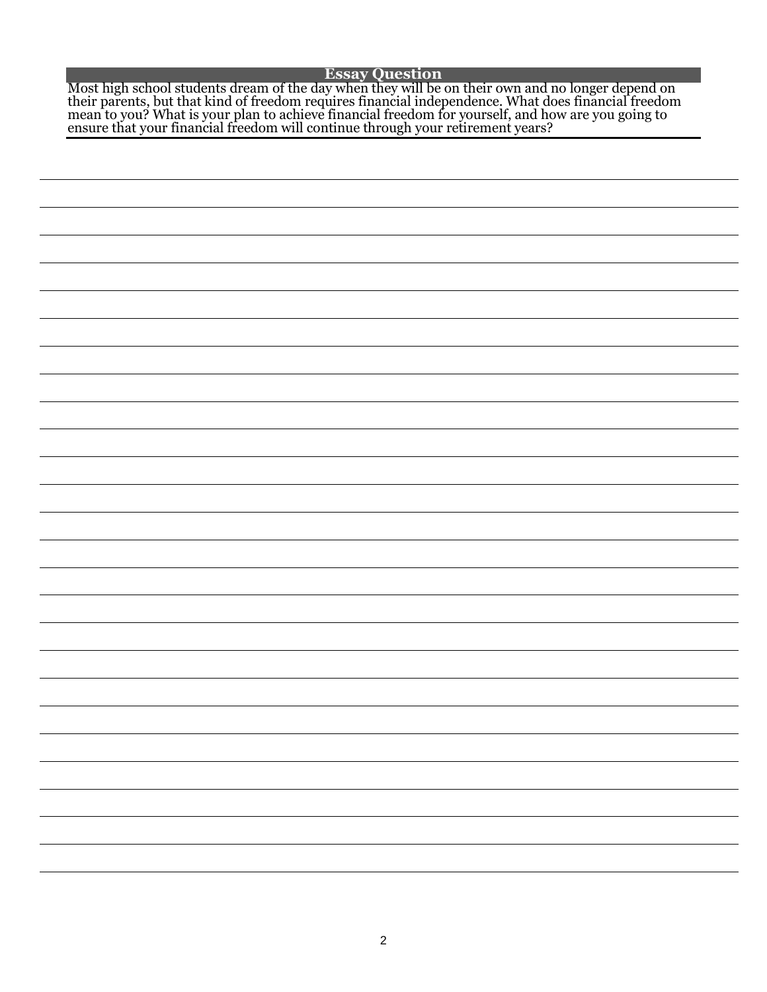## **Essay Question**

Most high school students dream of the day when they will be on their own and no longer depend on their parents, but that kind of freedom requires financial independence. What does financial freedom mean to you? What is your plan to achieve financial freedom for yourself, and how are you going to ensure that your financial freedom will continue through your retirement years?